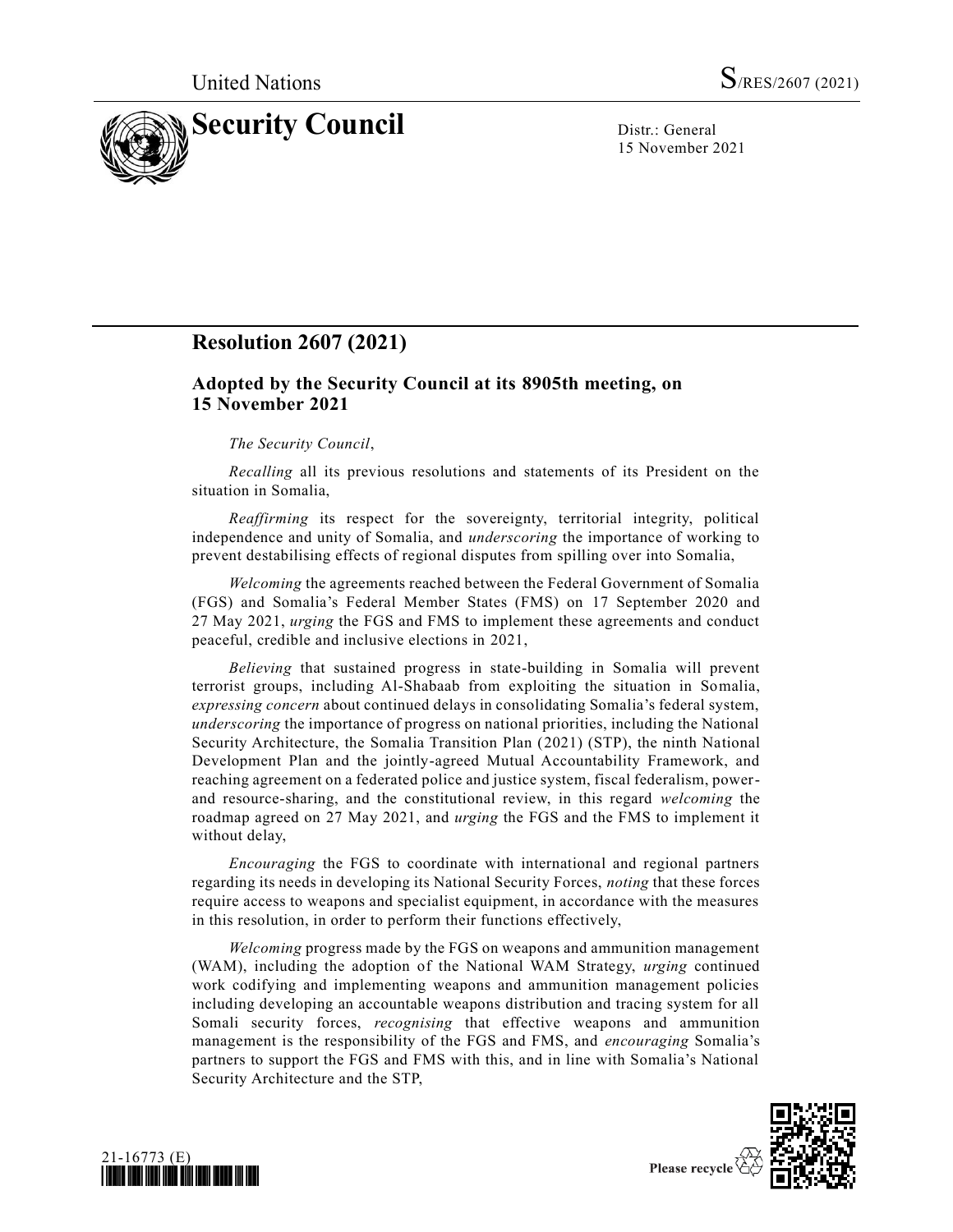

15 November 2021

# **Resolution 2607 (2021)**

## **Adopted by the Security Council at its 8905th meeting, on 15 November 2021**

## *The Security Council*,

*Recalling* all its previous resolutions and statements of its President on the situation in Somalia,

*Reaffirming* its respect for the sovereignty, territorial integrity, political independence and unity of Somalia, and *underscoring* the importance of working to prevent destabilising effects of regional disputes from spilling over into Somalia,

*Welcoming* the agreements reached between the Federal Government of Somalia (FGS) and Somalia's Federal Member States (FMS) on 17 September 2020 and 27 May 2021, *urging* the FGS and FMS to implement these agreements and conduct peaceful, credible and inclusive elections in 2021,

*Believing* that sustained progress in state-building in Somalia will prevent terrorist groups, including Al-Shabaab from exploiting the situation in Somalia, *expressing concern* about continued delays in consolidating Somalia's federal system, *underscoring* the importance of progress on national priorities, including the National Security Architecture, the Somalia Transition Plan (2021) (STP), the ninth National Development Plan and the jointly-agreed Mutual Accountability Framework, and reaching agreement on a federated police and justice system, fiscal federalism, powerand resource-sharing, and the constitutional review, in this regard *welcoming* the roadmap agreed on 27 May 2021, and *urging* the FGS and the FMS to implement it without delay,

*Encouraging* the FGS to coordinate with international and regional partners regarding its needs in developing its National Security Forces, *noting* that these forces require access to weapons and specialist equipment, in accordance with the measures in this resolution, in order to perform their functions effectively,

*Welcoming* progress made by the FGS on weapons and ammunition management (WAM), including the adoption of the National WAM Strategy, *urging* continued work codifying and implementing weapons and ammunition management policies including developing an accountable weapons distribution and tracing system for all Somali security forces, *recognising* that effective weapons and ammunition management is the responsibility of the FGS and FMS, and *encouraging* Somalia's partners to support the FGS and FMS with this, and in line with Somalia's National Security Architecture and the STP,



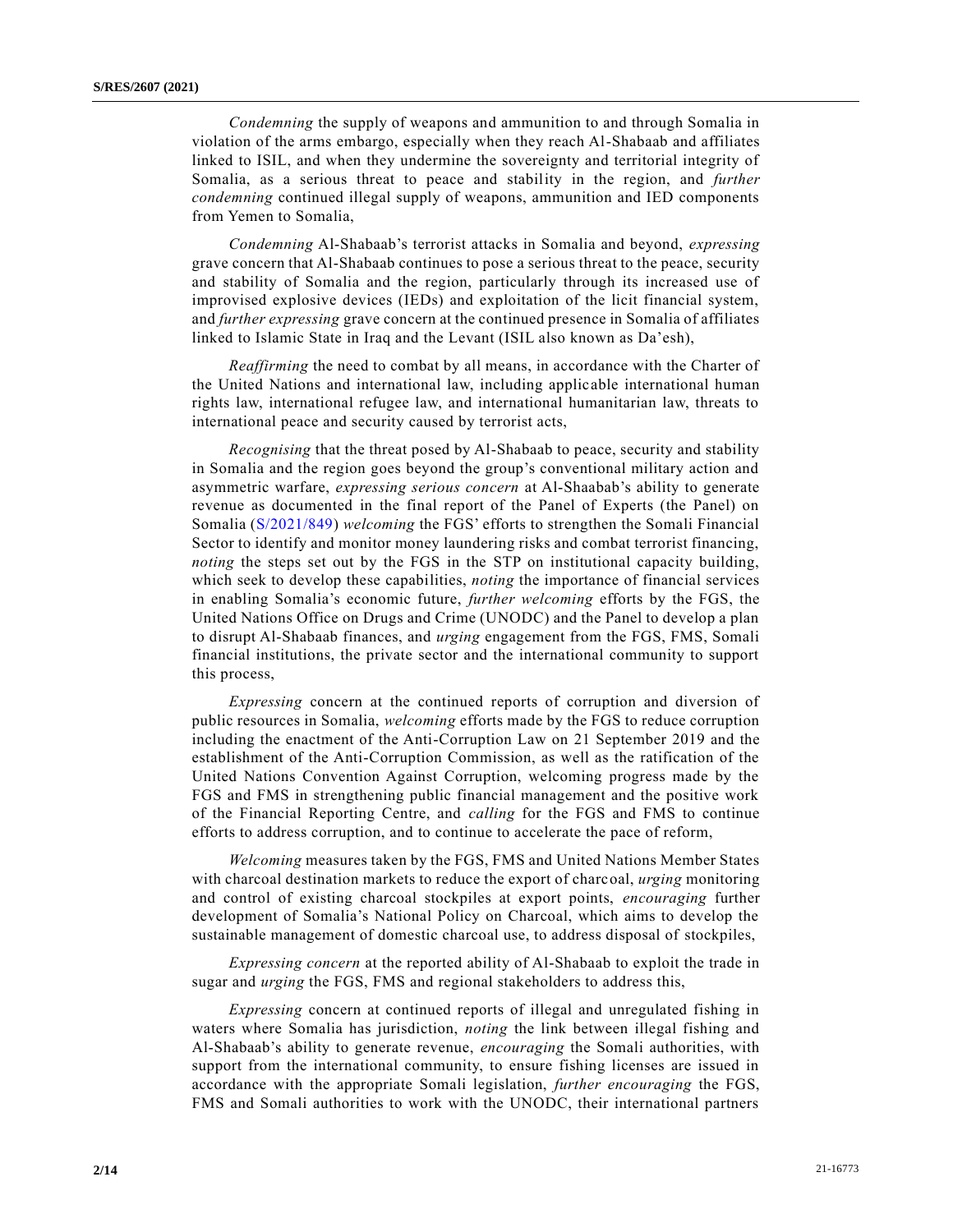*Condemning* the supply of weapons and ammunition to and through Somalia in violation of the arms embargo, especially when they reach Al-Shabaab and affiliates linked to ISIL, and when they undermine the sovereignty and territorial integrity of Somalia, as a serious threat to peace and stability in the region, and *further condemning* continued illegal supply of weapons, ammunition and IED components from Yemen to Somalia,

*Condemning* Al-Shabaab's terrorist attacks in Somalia and beyond, *expressing* grave concern that Al-Shabaab continues to pose a serious threat to the peace, security and stability of Somalia and the region, particularly through its increased use of improvised explosive devices (IEDs) and exploitation of the licit financial system, and *further expressing* grave concern at the continued presence in Somalia of affiliates linked to Islamic State in Iraq and the Levant (ISIL also known as Da'esh),

*Reaffirming* the need to combat by all means, in accordance with the Charter of the United Nations and international law, including applicable international human rights law, international refugee law, and international humanitarian law, threats to international peace and security caused by terrorist acts,

*Recognising* that the threat posed by Al-Shabaab to peace, security and stability in Somalia and the region goes beyond the group's conventional military action and asymmetric warfare, *expressing serious concern* at Al-Shaabab's ability to generate revenue as documented in the final report of the Panel of Experts (the Panel) on Somalia [\(S/2021/849\)](https://undocs.org/en/S/2021/849) *welcoming* the FGS' efforts to strengthen the Somali Financial Sector to identify and monitor money laundering risks and combat terrorist financing, *noting* the steps set out by the FGS in the STP on institutional capacity building, which seek to develop these capabilities, *noting* the importance of financial services in enabling Somalia's economic future, *further welcoming* efforts by the FGS, the United Nations Office on Drugs and Crime (UNODC) and the Panel to develop a plan to disrupt Al-Shabaab finances, and *urging* engagement from the FGS, FMS, Somali financial institutions, the private sector and the international community to support this process,

*Expressing* concern at the continued reports of corruption and diversion of public resources in Somalia, *welcoming* efforts made by the FGS to reduce corruption including the enactment of the Anti-Corruption Law on 21 September 2019 and the establishment of the Anti-Corruption Commission, as well as the ratification of the United Nations Convention Against Corruption, welcoming progress made by the FGS and FMS in strengthening public financial management and the positive work of the Financial Reporting Centre, and *calling* for the FGS and FMS to continue efforts to address corruption, and to continue to accelerate the pace of reform,

*Welcoming* measures taken by the FGS, FMS and United Nations Member States with charcoal destination markets to reduce the export of charcoal, *urging* monitoring and control of existing charcoal stockpiles at export points, *encouraging* further development of Somalia's National Policy on Charcoal, which aims to develop the sustainable management of domestic charcoal use, to address disposal of stockpiles,

*Expressing concern* at the reported ability of Al-Shabaab to exploit the trade in sugar and *urging* the FGS, FMS and regional stakeholders to address this,

*Expressing* concern at continued reports of illegal and unregulated fishing in waters where Somalia has jurisdiction, *noting* the link between illegal fishing and Al-Shabaab's ability to generate revenue, *encouraging* the Somali authorities, with support from the international community, to ensure fishing licenses are issued in accordance with the appropriate Somali legislation, *further encouraging* the FGS, FMS and Somali authorities to work with the UNODC, their international partners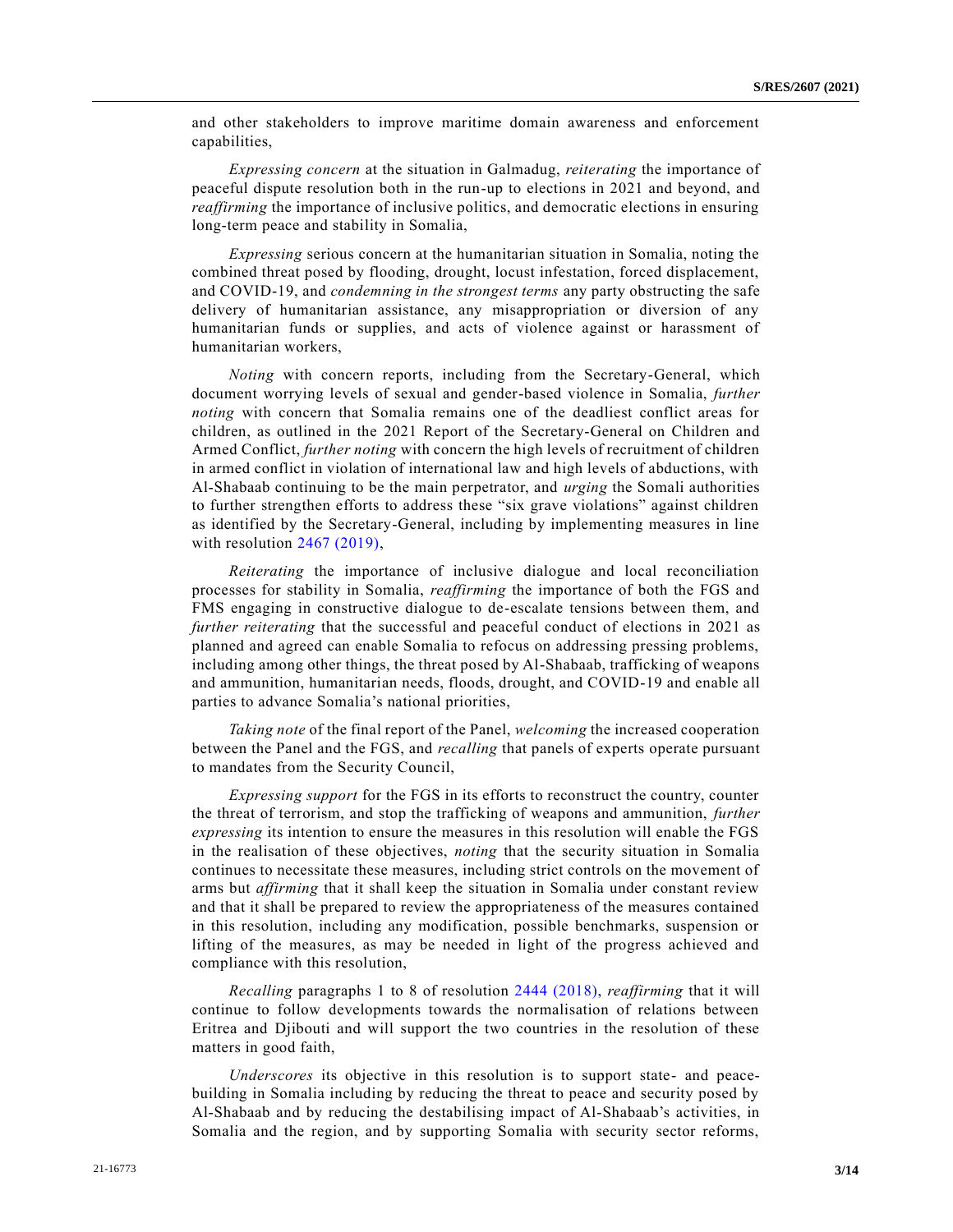and other stakeholders to improve maritime domain awareness and enforcement capabilities,

*Expressing concern* at the situation in Galmadug, *reiterating* the importance of peaceful dispute resolution both in the run-up to elections in 2021 and beyond, and *reaffirming* the importance of inclusive politics, and democratic elections in ensuring long-term peace and stability in Somalia,

*Expressing* serious concern at the humanitarian situation in Somalia, noting the combined threat posed by flooding, drought, locust infestation, forced displacement, and COVID-19, and *condemning in the strongest terms* any party obstructing the safe delivery of humanitarian assistance, any misappropriation or diversion of any humanitarian funds or supplies, and acts of violence against or harassment of humanitarian workers,

*Noting* with concern reports, including from the Secretary-General, which document worrying levels of sexual and gender-based violence in Somalia, *further noting* with concern that Somalia remains one of the deadliest conflict areas for children, as outlined in the 2021 Report of the Secretary-General on Children and Armed Conflict, *further noting* with concern the high levels of recruitment of children in armed conflict in violation of international law and high levels of abductions, with Al-Shabaab continuing to be the main perpetrator, and *urging* the Somali authorities to further strengthen efforts to address these "six grave violations" against children as identified by the Secretary-General, including by implementing measures in line with resolution [2467 \(2019\),](https://undocs.org/en/S/RES/2467(2019))

*Reiterating* the importance of inclusive dialogue and local reconciliation processes for stability in Somalia, *reaffirming* the importance of both the FGS and FMS engaging in constructive dialogue to de-escalate tensions between them, and *further reiterating* that the successful and peaceful conduct of elections in 2021 as planned and agreed can enable Somalia to refocus on addressing pressing problems, including among other things, the threat posed by Al-Shabaab, trafficking of weapons and ammunition, humanitarian needs, floods, drought, and COVID-19 and enable all parties to advance Somalia's national priorities,

*Taking note* of the final report of the Panel, *welcoming* the increased cooperation between the Panel and the FGS, and *recalling* that panels of experts operate pursuant to mandates from the Security Council,

*Expressing support* for the FGS in its efforts to reconstruct the country, counter the threat of terrorism, and stop the trafficking of weapons and ammunition, *further expressing* its intention to ensure the measures in this resolution will enable the FGS in the realisation of these objectives, *noting* that the security situation in Somalia continues to necessitate these measures, including strict controls on the movement of arms but *affirming* that it shall keep the situation in Somalia under constant review and that it shall be prepared to review the appropriateness of the measures contained in this resolution, including any modification, possible benchmarks, suspension or lifting of the measures, as may be needed in light of the progress achieved and compliance with this resolution,

*Recalling* paragraphs 1 to 8 of resolution [2444 \(2018\),](https://undocs.org/en/S/RES/2444(2018)) *reaffirming* that it will continue to follow developments towards the normalisation of relations between Eritrea and Djibouti and will support the two countries in the resolution of these matters in good faith,

*Underscores* its objective in this resolution is to support state- and peacebuilding in Somalia including by reducing the threat to peace and security posed by Al-Shabaab and by reducing the destabilising impact of Al-Shabaab's activities, in Somalia and the region, and by supporting Somalia with security sector reforms,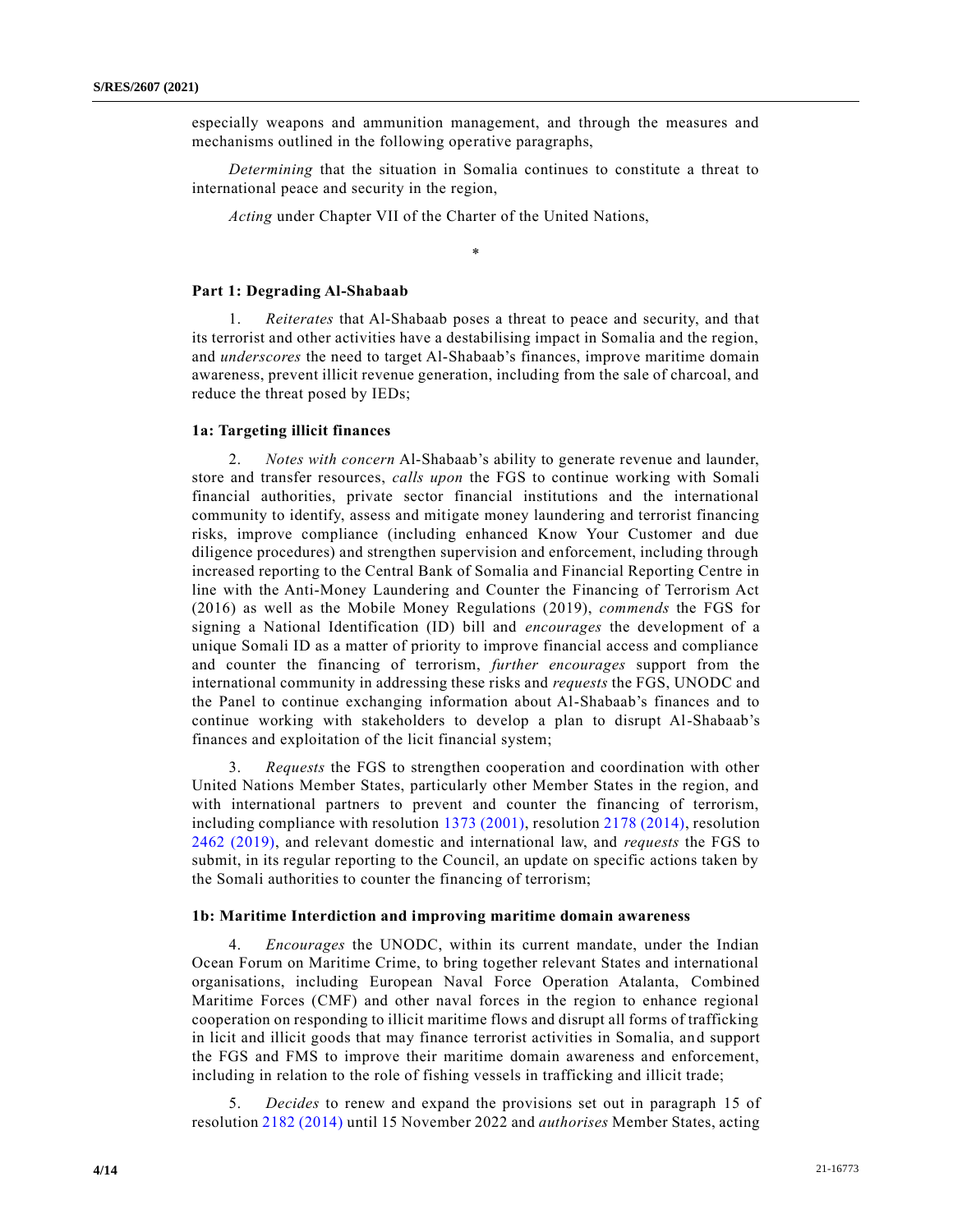especially weapons and ammunition management, and through the measures and mechanisms outlined in the following operative paragraphs,

*Determining* that the situation in Somalia continues to constitute a threat to international peace and security in the region,

*Acting* under Chapter VII of the Charter of the United Nations,

\*

#### **Part 1: Degrading Al-Shabaab**

1. *Reiterates* that Al-Shabaab poses a threat to peace and security, and that its terrorist and other activities have a destabilising impact in Somalia and the region, and *underscores* the need to target Al-Shabaab's finances, improve maritime domain awareness, prevent illicit revenue generation, including from the sale of charcoal, and reduce the threat posed by IEDs;

#### **1a: Targeting illicit finances**

2. *Notes with concern* Al-Shabaab's ability to generate revenue and launder, store and transfer resources, *calls upon* the FGS to continue working with Somali financial authorities, private sector financial institutions and the international community to identify, assess and mitigate money laundering and terrorist financing risks, improve compliance (including enhanced Know Your Customer and due diligence procedures) and strengthen supervision and enforcement, including through increased reporting to the Central Bank of Somalia and Financial Reporting Centre in line with the Anti-Money Laundering and Counter the Financing of Terrorism Act (2016) as well as the Mobile Money Regulations (2019), *commends* the FGS for signing a National Identification (ID) bill and *encourages* the development of a unique Somali ID as a matter of priority to improve financial access and compliance and counter the financing of terrorism, *further encourages* support from the international community in addressing these risks and *requests* the FGS, UNODC and the Panel to continue exchanging information about Al-Shabaab's finances and to continue working with stakeholders to develop a plan to disrupt Al-Shabaab's finances and exploitation of the licit financial system;

3. *Requests* the FGS to strengthen cooperation and coordination with other United Nations Member States, particularly other Member States in the region, and with international partners to prevent and counter the financing of terrorism, including compliance with resolution [1373 \(2001\),](https://undocs.org/en/S/RES/1373(2001)) resolution [2178 \(2014\),](https://undocs.org/en/S/RES/2178(2014)) resolution [2462 \(2019\),](https://undocs.org/en/S/RES/2462(2019)) and relevant domestic and international law, and *requests* the FGS to submit, in its regular reporting to the Council, an update on specific actions taken by the Somali authorities to counter the financing of terrorism;

#### **1b: Maritime Interdiction and improving maritime domain awareness**

4. *Encourages* the UNODC, within its current mandate, under the Indian Ocean Forum on Maritime Crime, to bring together relevant States and international organisations, including European Naval Force Operation Atalanta, Combined Maritime Forces (CMF) and other naval forces in the region to enhance regional cooperation on responding to illicit maritime flows and disrupt all forms of trafficking in licit and illicit goods that may finance terrorist activities in Somalia, an d support the FGS and FMS to improve their maritime domain awareness and enforcement, including in relation to the role of fishing vessels in trafficking and illicit trade;

5. *Decides* to renew and expand the provisions set out in paragraph 15 of resolutio[n 2182 \(2014\)](https://undocs.org/en/S/RES/2182(2014)) until 15 November 2022 and *authorises* Member States, acting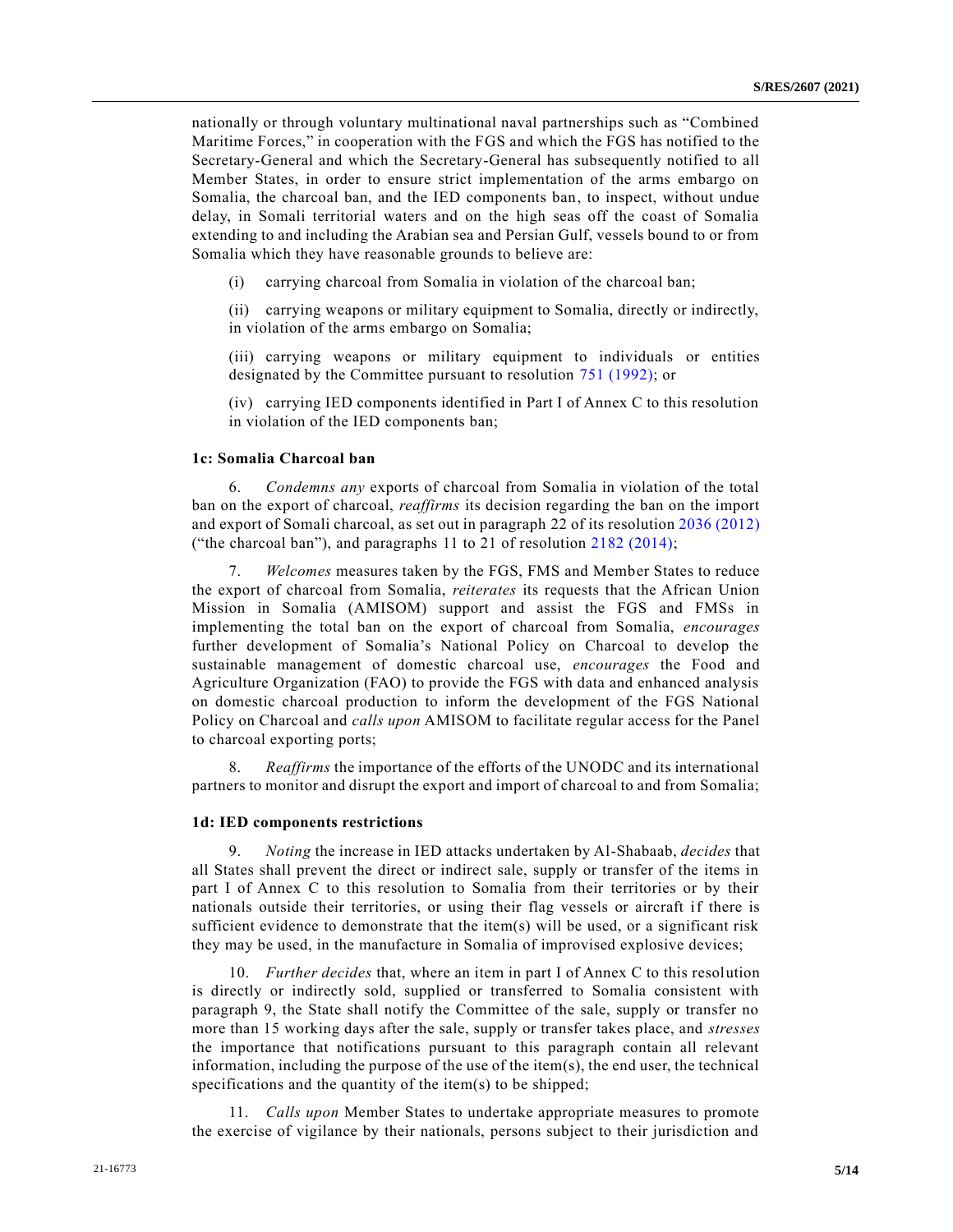nationally or through voluntary multinational naval partnerships such as "Combined Maritime Forces," in cooperation with the FGS and which the FGS has notified to the Secretary-General and which the Secretary-General has subsequently notified to all Member States, in order to ensure strict implementation of the arms embargo on Somalia, the charcoal ban, and the IED components ban, to inspect, without undue delay, in Somali territorial waters and on the high seas off the coast of Somalia extending to and including the Arabian sea and Persian Gulf, vessels bound to or from Somalia which they have reasonable grounds to believe are:

(i) carrying charcoal from Somalia in violation of the charcoal ban;

(ii) carrying weapons or military equipment to Somalia, directly or indirectly, in violation of the arms embargo on Somalia;

(iii) carrying weapons or military equipment to individuals or entities designated by the Committee pursuant to resolution [751 \(1992\);](https://undocs.org/en/S/RES/751(1992)) or

(iv) carrying IED components identified in Part I of Annex C to this resolution in violation of the IED components ban;

#### **1c: Somalia Charcoal ban**

6. *Condemns any* exports of charcoal from Somalia in violation of the total ban on the export of charcoal, *reaffirms* its decision regarding the ban on the import and export of Somali charcoal, as set out in paragraph 22 of its resolution [2036 \(2012\)](https://undocs.org/en/S/RES/2036(2012)) ("the charcoal ban"), and paragraphs 11 to 21 of resolution [2182 \(2014\);](https://undocs.org/en/S/RES/2182(2014))

7. *Welcomes* measures taken by the FGS, FMS and Member States to reduce the export of charcoal from Somalia, *reiterates* its requests that the African Union Mission in Somalia (AMISOM) support and assist the FGS and FMSs in implementing the total ban on the export of charcoal from Somalia, *encourages* further development of Somalia's National Policy on Charcoal to develop the sustainable management of domestic charcoal use, *encourages* the Food and Agriculture Organization (FAO) to provide the FGS with data and enhanced analysis on domestic charcoal production to inform the development of the FGS National Policy on Charcoal and *calls upon* AMISOM to facilitate regular access for the Panel to charcoal exporting ports;

8. *Reaffirms* the importance of the efforts of the UNODC and its international partners to monitor and disrupt the export and import of charcoal to and from Somalia;

#### **1d: IED components restrictions**

9. *Noting* the increase in IED attacks undertaken by Al-Shabaab, *decides* that all States shall prevent the direct or indirect sale, supply or transfer of the items in part I of Annex C to this resolution to Somalia from their territories or by their nationals outside their territories, or using their flag vessels or aircraft if there is sufficient evidence to demonstrate that the item(s) will be used, or a significant risk they may be used, in the manufacture in Somalia of improvised explosive devices;

10. *Further decides* that, where an item in part I of Annex C to this resolution is directly or indirectly sold, supplied or transferred to Somalia consistent with paragraph 9, the State shall notify the Committee of the sale, supply or transfer no more than 15 working days after the sale, supply or transfer takes place, and *stresses* the importance that notifications pursuant to this paragraph contain all relevant information, including the purpose of the use of the item(s), the end user, the technical specifications and the quantity of the item(s) to be shipped;

11. *Calls upon* Member States to undertake appropriate measures to promote the exercise of vigilance by their nationals, persons subject to their jurisdiction and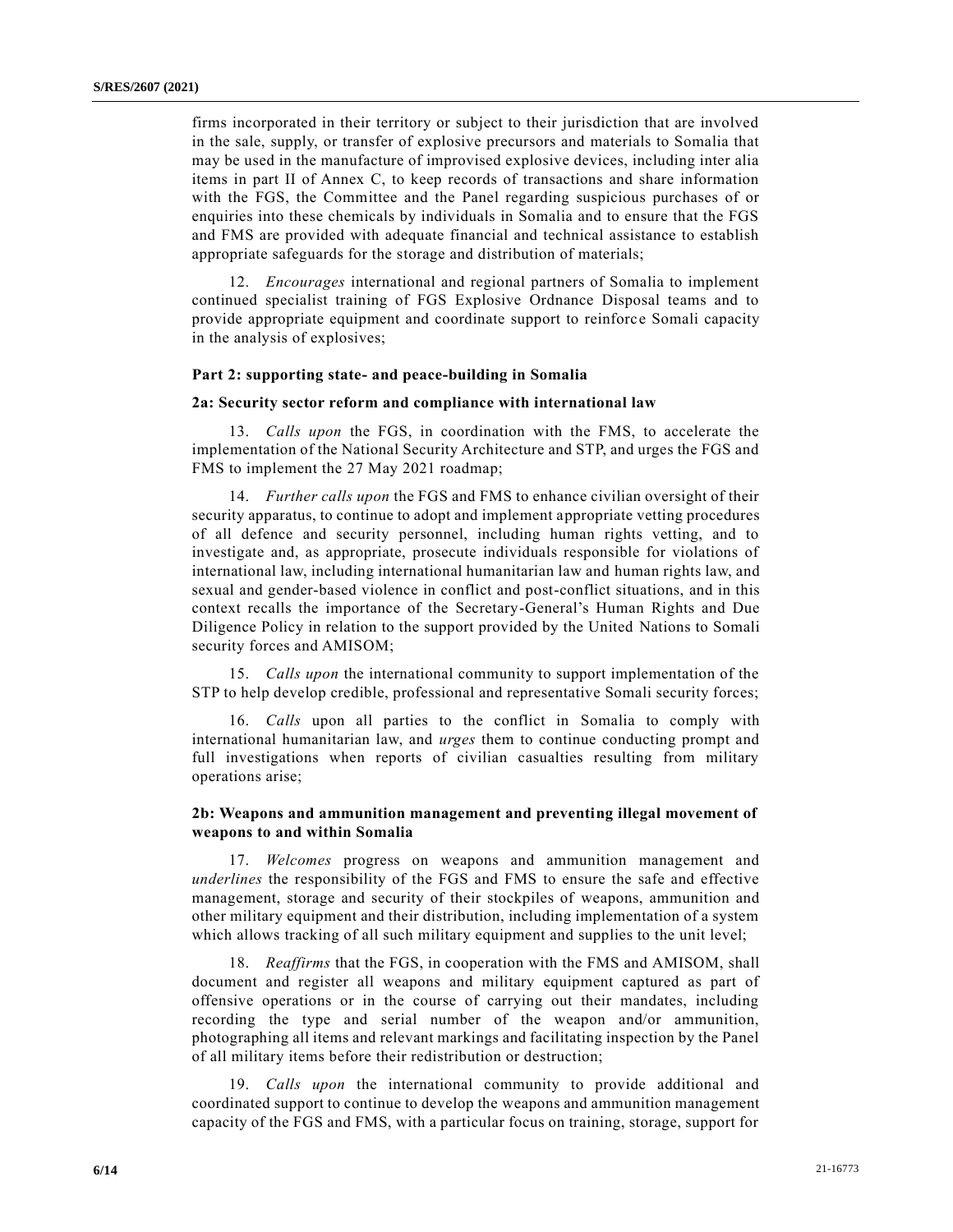firms incorporated in their territory or subject to their jurisdiction that are involved in the sale, supply, or transfer of explosive precursors and materials to Somalia that may be used in the manufacture of improvised explosive devices, including inter alia items in part II of Annex C, to keep records of transactions and share information with the FGS, the Committee and the Panel regarding suspicious purchases of or enquiries into these chemicals by individuals in Somalia and to ensure that the FGS and FMS are provided with adequate financial and technical assistance to establish appropriate safeguards for the storage and distribution of materials;

12. *Encourages* international and regional partners of Somalia to implement continued specialist training of FGS Explosive Ordnance Disposal teams and to provide appropriate equipment and coordinate support to reinforc e Somali capacity in the analysis of explosives;

#### **Part 2: supporting state- and peace-building in Somalia**

#### **2a: Security sector reform and compliance with international law**

13. *Calls upon* the FGS, in coordination with the FMS, to accelerate the implementation of the National Security Architecture and STP, and urges the FGS and FMS to implement the 27 May 2021 roadmap;

14. *Further calls upon* the FGS and FMS to enhance civilian oversight of their security apparatus, to continue to adopt and implement appropriate vetting procedures of all defence and security personnel, including human rights vetting, and to investigate and, as appropriate, prosecute individuals responsible for violations of international law, including international humanitarian law and human rights law, and sexual and gender-based violence in conflict and post-conflict situations, and in this context recalls the importance of the Secretary-General's Human Rights and Due Diligence Policy in relation to the support provided by the United Nations to Somali security forces and AMISOM;

15. *Calls upon* the international community to support implementation of the STP to help develop credible, professional and representative Somali security forces;

16. *Calls* upon all parties to the conflict in Somalia to comply with international humanitarian law, and *urges* them to continue conducting prompt and full investigations when reports of civilian casualties resulting from military operations arise;

## **2b: Weapons and ammunition management and preventing illegal movement of weapons to and within Somalia**

17. *Welcomes* progress on weapons and ammunition management and *underlines* the responsibility of the FGS and FMS to ensure the safe and effective management, storage and security of their stockpiles of weapons, ammunition and other military equipment and their distribution, including implementation of a system which allows tracking of all such military equipment and supplies to the unit level;

18. *Reaffirms* that the FGS, in cooperation with the FMS and AMISOM, shall document and register all weapons and military equipment captured as part of offensive operations or in the course of carrying out their mandates, including recording the type and serial number of the weapon and/or ammunition, photographing all items and relevant markings and facilitating inspection by the Panel of all military items before their redistribution or destruction;

19. *Calls upon* the international community to provide additional and coordinated support to continue to develop the weapons and ammunition management capacity of the FGS and FMS, with a particular focus on training, storage, support for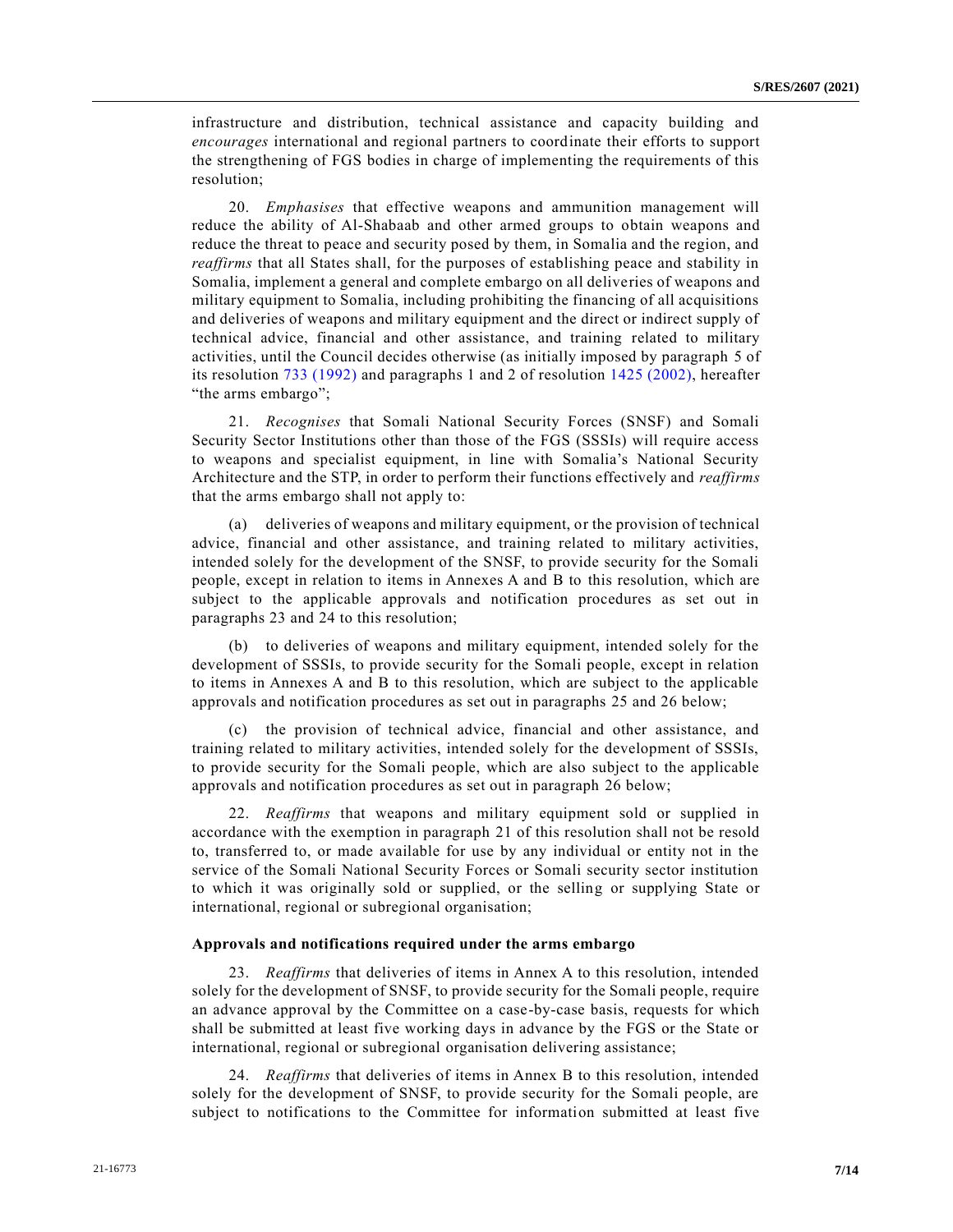infrastructure and distribution, technical assistance and capacity building and *encourages* international and regional partners to coordinate their efforts to support the strengthening of FGS bodies in charge of implementing the requirements of this resolution;

20. *Emphasises* that effective weapons and ammunition management will reduce the ability of Al-Shabaab and other armed groups to obtain weapons and reduce the threat to peace and security posed by them, in Somalia and the region, and *reaffirms* that all States shall, for the purposes of establishing peace and stability in Somalia, implement a general and complete embargo on all deliveries of weapons and military equipment to Somalia, including prohibiting the financing of all acquisitions and deliveries of weapons and military equipment and the direct or indirect supply of technical advice, financial and other assistance, and training related to military activities, until the Council decides otherwise (as initially imposed by paragraph 5 of its resolution [733 \(1992\)](https://undocs.org/en/S/RES/733(1992)) and paragraphs 1 and 2 of resolution [1425 \(2002\),](https://undocs.org/en/S/RES/1425(2002)) hereafter "the arms embargo";

21. *Recognises* that Somali National Security Forces (SNSF) and Somali Security Sector Institutions other than those of the FGS (SSSIs) will require access to weapons and specialist equipment, in line with Somalia's National Security Architecture and the STP, in order to perform their functions effectively and *reaffirms* that the arms embargo shall not apply to:

(a) deliveries of weapons and military equipment, or the provision of technical advice, financial and other assistance, and training related to military activities, intended solely for the development of the SNSF, to provide security for the Somali people, except in relation to items in Annexes A and B to this resolution, which are subject to the applicable approvals and notification procedures as set out in paragraphs 23 and 24 to this resolution;

(b) to deliveries of weapons and military equipment, intended solely for the development of SSSIs, to provide security for the Somali people, except in relation to items in Annexes A and B to this resolution, which are subject to the applicable approvals and notification procedures as set out in paragraphs 25 and 26 below;

(c) the provision of technical advice, financial and other assistance, and training related to military activities, intended solely for the development of SSSIs, to provide security for the Somali people, which are also subject to the applicable approvals and notification procedures as set out in paragraph 26 below;

22. *Reaffirms* that weapons and military equipment sold or supplied in accordance with the exemption in paragraph 21 of this resolution shall not be resold to, transferred to, or made available for use by any individual or entity not in the service of the Somali National Security Forces or Somali security sector institution to which it was originally sold or supplied, or the selling or supplying State or international, regional or subregional organisation;

#### **Approvals and notifications required under the arms embargo**

23. *Reaffirms* that deliveries of items in Annex A to this resolution, intended solely for the development of SNSF, to provide security for the Somali people, require an advance approval by the Committee on a case-by-case basis, requests for which shall be submitted at least five working days in advance by the FGS or the State or international, regional or subregional organisation delivering assistance;

24. *Reaffirms* that deliveries of items in Annex B to this resolution, intended solely for the development of SNSF, to provide security for the Somali people, are subject to notifications to the Committee for information submitted at least five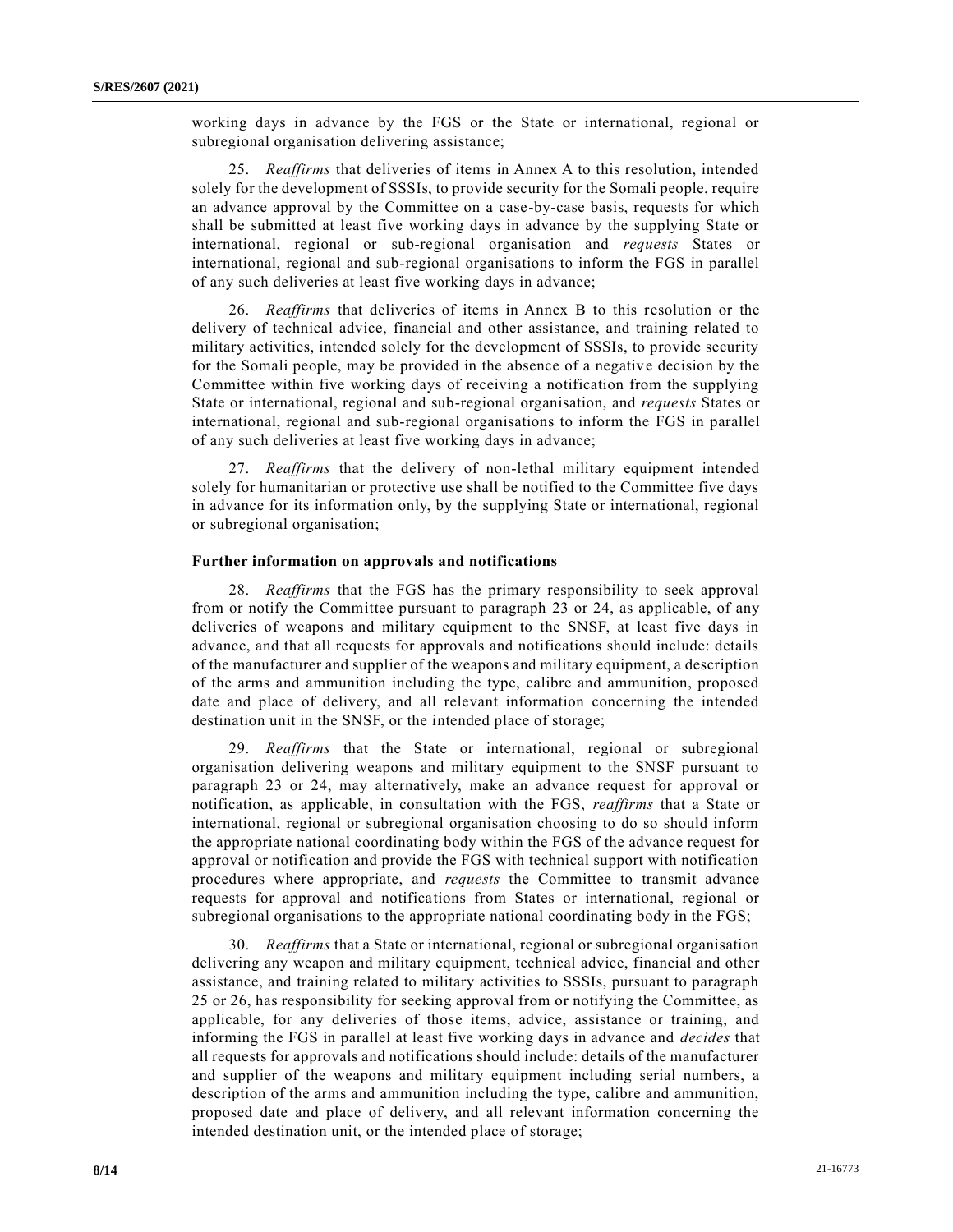working days in advance by the FGS or the State or international, regional or subregional organisation delivering assistance;

25. *Reaffirms* that deliveries of items in Annex A to this resolution, intended solely for the development of SSSIs, to provide security for the Somali people, require an advance approval by the Committee on a case-by-case basis, requests for which shall be submitted at least five working days in advance by the supplying State or international, regional or sub-regional organisation and *requests* States or international, regional and sub-regional organisations to inform the FGS in parallel of any such deliveries at least five working days in advance;

26. *Reaffirms* that deliveries of items in Annex B to this resolution or the delivery of technical advice, financial and other assistance, and training related to military activities, intended solely for the development of SSSIs, to provide security for the Somali people, may be provided in the absence of a negative decision by the Committee within five working days of receiving a notification from the supplying State or international, regional and sub-regional organisation, and *requests* States or international, regional and sub-regional organisations to inform the FGS in parallel of any such deliveries at least five working days in advance;

27. *Reaffirms* that the delivery of non-lethal military equipment intended solely for humanitarian or protective use shall be notified to the Committee five days in advance for its information only, by the supplying State or international, regional or subregional organisation;

#### **Further information on approvals and notifications**

28. *Reaffirms* that the FGS has the primary responsibility to seek approval from or notify the Committee pursuant to paragraph 23 or 24, as applicable, of any deliveries of weapons and military equipment to the SNSF, at least five days in advance, and that all requests for approvals and notifications should include: details of the manufacturer and supplier of the weapons and military equipment, a description of the arms and ammunition including the type, calibre and ammunition, proposed date and place of delivery, and all relevant information concerning the intended destination unit in the SNSF, or the intended place of storage;

29. *Reaffirms* that the State or international, regional or subregional organisation delivering weapons and military equipment to the SNSF pursuant to paragraph 23 or 24, may alternatively, make an advance request for approval or notification, as applicable, in consultation with the FGS, *reaffirms* that a State or international, regional or subregional organisation choosing to do so should inform the appropriate national coordinating body within the FGS of the advance request for approval or notification and provide the FGS with technical support with notification procedures where appropriate, and *requests* the Committee to transmit advance requests for approval and notifications from States or international, regional or subregional organisations to the appropriate national coordinating body in the FGS;

30. *Reaffirms* that a State or international, regional or subregional organisation delivering any weapon and military equipment, technical advice, financial and other assistance, and training related to military activities to SSSIs, pursuant to paragraph 25 or 26, has responsibility for seeking approval from or notifying the Committee, as applicable, for any deliveries of those items, advice, assistance or training, and informing the FGS in parallel at least five working days in advance and *decides* that all requests for approvals and notifications should include: details of the manufacturer and supplier of the weapons and military equipment including serial numbers, a description of the arms and ammunition including the type, calibre and ammunition, proposed date and place of delivery, and all relevant information concerning the intended destination unit, or the intended place of storage;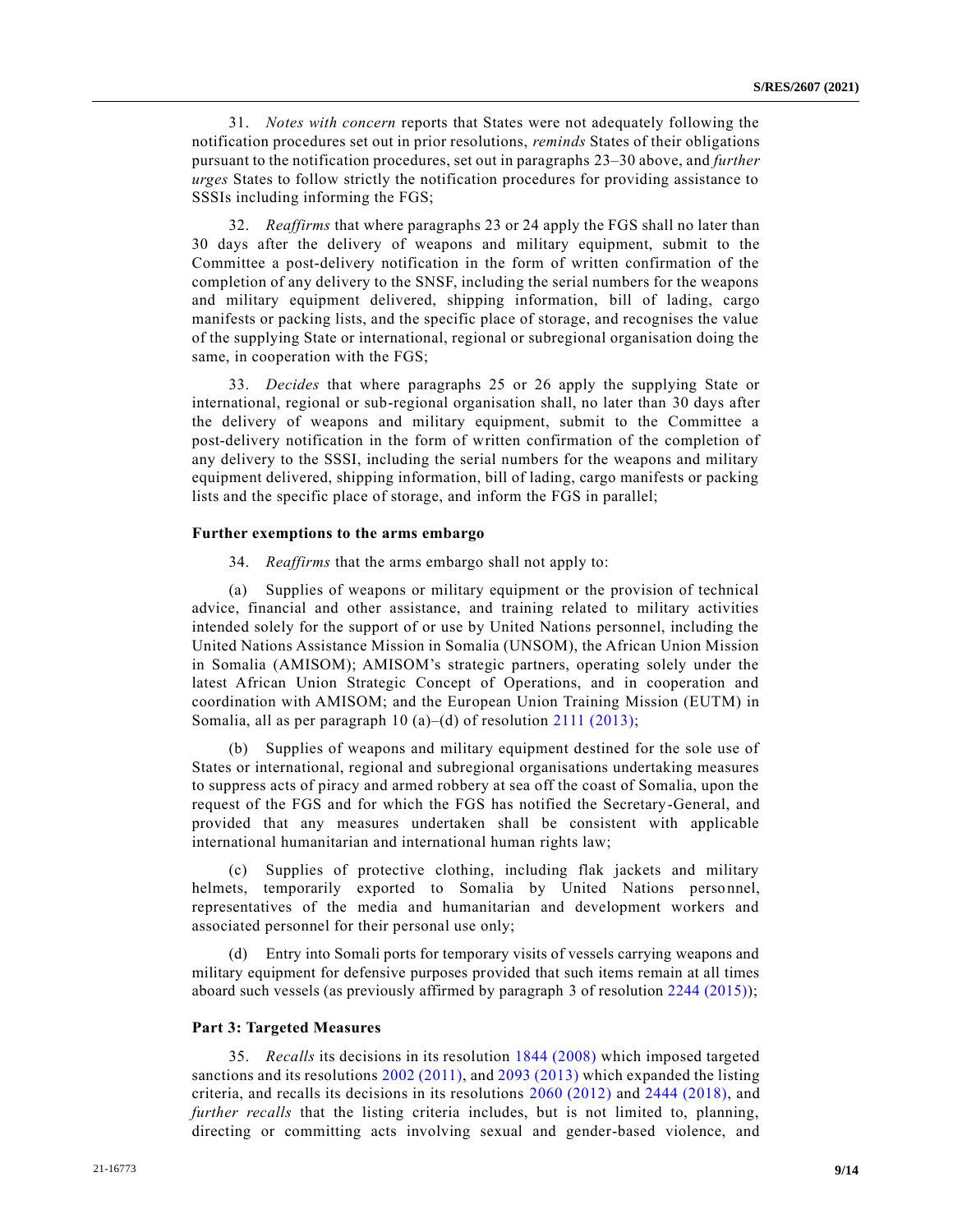31. *Notes with concern* reports that States were not adequately following the notification procedures set out in prior resolutions, *reminds* States of their obligations pursuant to the notification procedures, set out in paragraphs 23–30 above, and *further urges* States to follow strictly the notification procedures for providing assistance to SSSIs including informing the FGS;

32. *Reaffirms* that where paragraphs 23 or 24 apply the FGS shall no later than 30 days after the delivery of weapons and military equipment, submit to the Committee a post-delivery notification in the form of written confirmation of the completion of any delivery to the SNSF, including the serial numbers for the weapons and military equipment delivered, shipping information, bill of lading, cargo manifests or packing lists, and the specific place of storage, and recognises the value of the supplying State or international, regional or subregional organisation doing the same, in cooperation with the FGS;

33. *Decides* that where paragraphs 25 or 26 apply the supplying State or international, regional or sub-regional organisation shall, no later than 30 days after the delivery of weapons and military equipment, submit to the Committee a post-delivery notification in the form of written confirmation of the completion of any delivery to the SSSI, including the serial numbers for the weapons and military equipment delivered, shipping information, bill of lading, cargo manifests or packing lists and the specific place of storage, and inform the FGS in parallel;

#### **Further exemptions to the arms embargo**

34. *Reaffirms* that the arms embargo shall not apply to:

(a) Supplies of weapons or military equipment or the provision of technical advice, financial and other assistance, and training related to military activities intended solely for the support of or use by United Nations personnel, including the United Nations Assistance Mission in Somalia (UNSOM), the African Union Mission in Somalia (AMISOM); AMISOM's strategic partners, operating solely under the latest African Union Strategic Concept of Operations, and in cooperation and coordination with AMISOM; and the European Union Training Mission (EUTM) in Somalia, all as per paragraph 10 (a)–(d) of resolution [2111 \(2013\);](https://undocs.org/en/S/RES/2111(2013))

(b) Supplies of weapons and military equipment destined for the sole use of States or international, regional and subregional organisations undertaking measures to suppress acts of piracy and armed robbery at sea off the coast of Somalia, upon the request of the FGS and for which the FGS has notified the Secretary-General, and provided that any measures undertaken shall be consistent with applicable international humanitarian and international human rights law;

(c) Supplies of protective clothing, including flak jackets and military helmets, temporarily exported to Somalia by United Nations personnel, representatives of the media and humanitarian and development workers and associated personnel for their personal use only;

(d) Entry into Somali ports for temporary visits of vessels carrying weapons and military equipment for defensive purposes provided that such items remain at all times aboard such vessels (as previously affirmed by paragraph 3 of resolution [2244 \(2015\)\)](https://undocs.org/en/S/RES/2244(2015));

#### **Part 3: Targeted Measures**

35. *Recalls* its decisions in its resolution [1844 \(2008\)](https://undocs.org/en/S/RES/1844(2008)) which imposed targeted sanctions and its resolutions [2002 \(2011\),](https://undocs.org/en/S/RES/2002(2011)) and [2093 \(2013\)](https://undocs.org/en/S/RES/2093(2013)) which expanded the listing criteria, and recalls its decisions in its resolutions [2060 \(2012\)](https://undocs.org/en/S/RES/2060(2012)) and [2444 \(2018\),](https://undocs.org/en/S/RES/2444(2018)) and *further recalls* that the listing criteria includes, but is not limited to, planning, directing or committing acts involving sexual and gender-based violence, and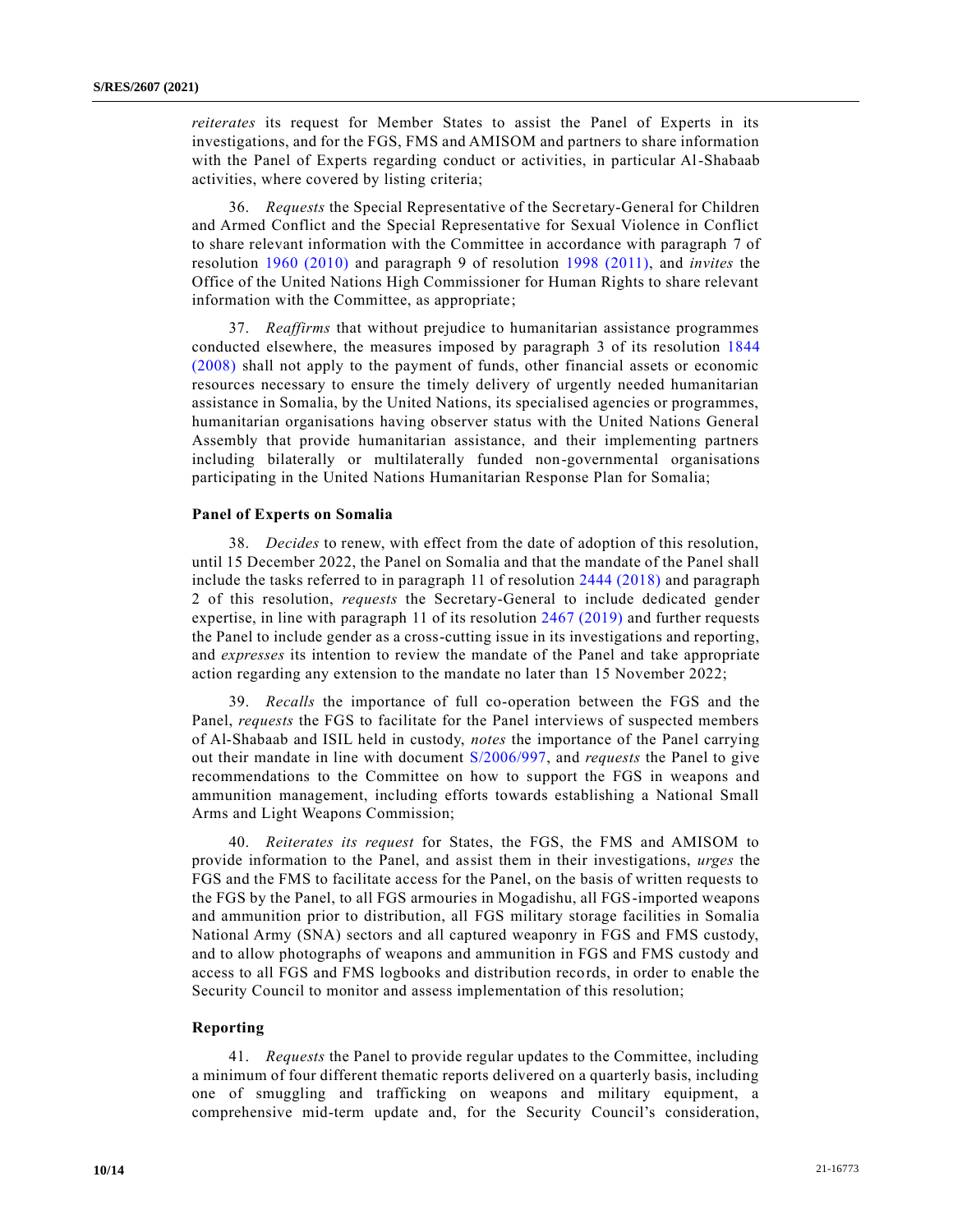*reiterates* its request for Member States to assist the Panel of Experts in its investigations, and for the FGS, FMS and AMISOM and partners to share information with the Panel of Experts regarding conduct or activities, in particular Al-Shabaab activities, where covered by listing criteria;

36. *Requests* the Special Representative of the Secretary-General for Children and Armed Conflict and the Special Representative for Sexual Violence in Conflict to share relevant information with the Committee in accordance with paragraph 7 of resolution [1960 \(2010\)](https://undocs.org/en/S/RES/1960(2010)) and paragraph 9 of resolution [1998 \(2011\),](https://undocs.org/en/S/RES/1998(2011)) and *invites* the Office of the United Nations High Commissioner for Human Rights to share relevant information with the Committee, as appropriate;

37. *Reaffirms* that without prejudice to humanitarian assistance programmes conducted elsewhere, the measures imposed by paragraph 3 of its resolution [1844](https://undocs.org/en/S/RES/1844(2008))  [\(2008\)](https://undocs.org/en/S/RES/1844(2008)) shall not apply to the payment of funds, other financial assets or economic resources necessary to ensure the timely delivery of urgently needed humanitarian assistance in Somalia, by the United Nations, its specialised agencies or programmes, humanitarian organisations having observer status with the United Nations General Assembly that provide humanitarian assistance, and their implementing partners including bilaterally or multilaterally funded non-governmental organisations participating in the United Nations Humanitarian Response Plan for Somalia;

#### **Panel of Experts on Somalia**

38. *Decides* to renew, with effect from the date of adoption of this resolution, until 15 December 2022, the Panel on Somalia and that the mandate of the Panel shall include the tasks referred to in paragraph 11 of resolution [2444 \(2018\)](https://undocs.org/en/S/RES/2444(2018)) and paragraph 2 of this resolution, *requests* the Secretary-General to include dedicated gender expertise, in line with paragraph 11 of its resolution [2467 \(2019\)](https://undocs.org/en/S/RES/2467(2019)) and further requests the Panel to include gender as a cross-cutting issue in its investigations and reporting, and *expresses* its intention to review the mandate of the Panel and take appropriate action regarding any extension to the mandate no later than 15 November 2022;

39. *Recalls* the importance of full co-operation between the FGS and the Panel, *requests* the FGS to facilitate for the Panel interviews of suspected members of Al-Shabaab and ISIL held in custody, *notes* the importance of the Panel carrying out their mandate in line with document [S/2006/997,](https://undocs.org/en/S/2006/997) and *requests* the Panel to give recommendations to the Committee on how to support the FGS in weapons and ammunition management, including efforts towards establishing a National Small Arms and Light Weapons Commission;

40. *Reiterates its request* for States, the FGS, the FMS and AMISOM to provide information to the Panel, and assist them in their investigations, *urges* the FGS and the FMS to facilitate access for the Panel, on the basis of written requests to the FGS by the Panel, to all FGS armouries in Mogadishu, all FGS-imported weapons and ammunition prior to distribution, all FGS military storage facilities in Somalia National Army (SNA) sectors and all captured weaponry in FGS and FMS custody, and to allow photographs of weapons and ammunition in FGS and FMS custody and access to all FGS and FMS logbooks and distribution records, in order to enable the Security Council to monitor and assess implementation of this resolution;

#### **Reporting**

41. *Requests* the Panel to provide regular updates to the Committee, including a minimum of four different thematic reports delivered on a quarterly basis, including one of smuggling and trafficking on weapons and military equipment, a comprehensive mid-term update and, for the Security Council's consideration,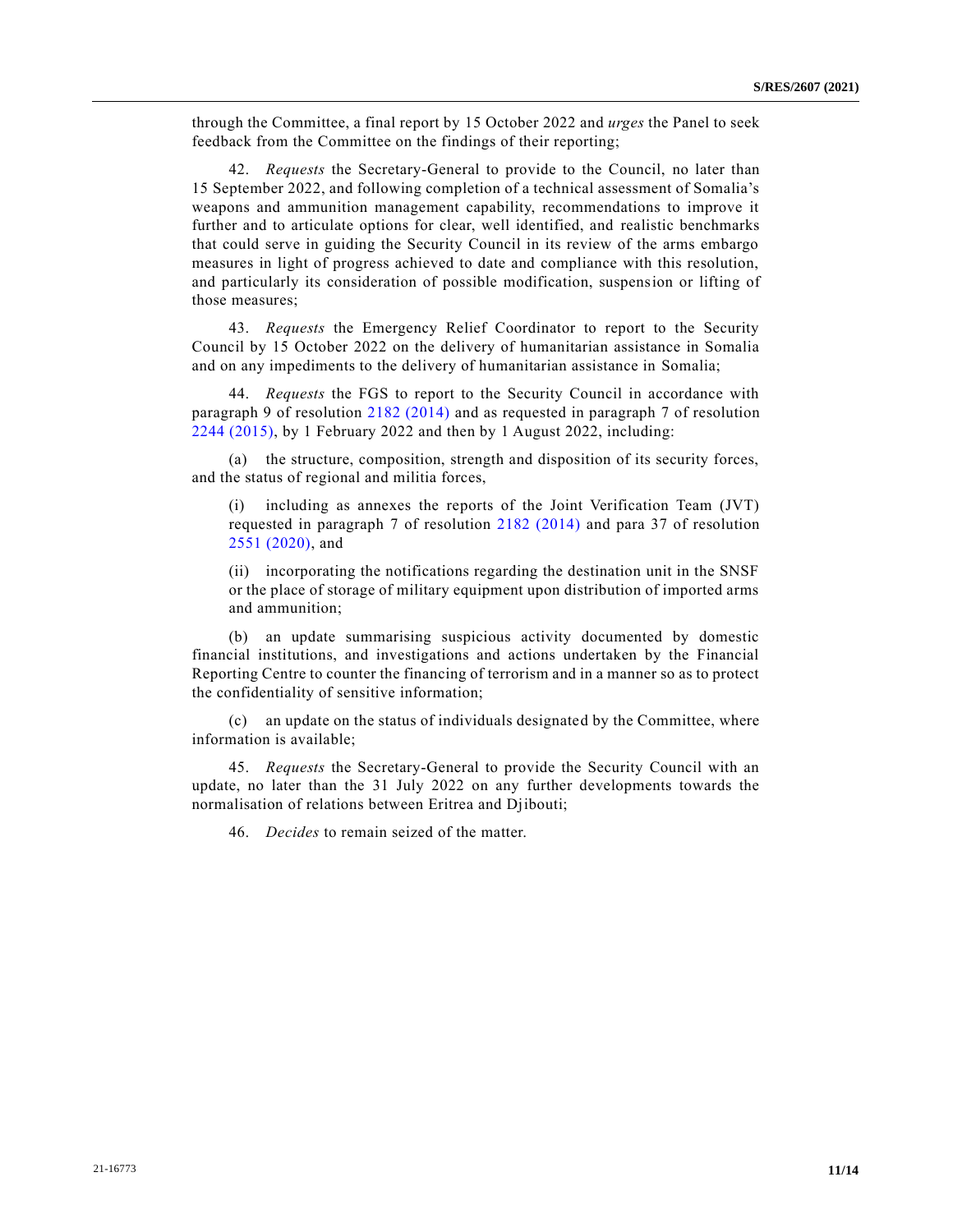through the Committee, a final report by 15 October 2022 and *urges* the Panel to seek feedback from the Committee on the findings of their reporting;

42. *Requests* the Secretary-General to provide to the Council, no later than 15 September 2022, and following completion of a technical assessment of Somalia's weapons and ammunition management capability, recommendations to improve it further and to articulate options for clear, well identified, and realistic benchmarks that could serve in guiding the Security Council in its review of the arms embargo measures in light of progress achieved to date and compliance with this resolution, and particularly its consideration of possible modification, suspension or lifting of those measures;

43. *Requests* the Emergency Relief Coordinator to report to the Security Council by 15 October 2022 on the delivery of humanitarian assistance in Somalia and on any impediments to the delivery of humanitarian assistance in Somalia;

44. *Requests* the FGS to report to the Security Council in accordance with paragraph 9 of resolution [2182 \(2014\)](https://undocs.org/en/S/RES/2182(2014)) and as requested in paragraph 7 of resolution [2244 \(2015\),](https://undocs.org/en/S/RES/2244(2015)) by 1 February 2022 and then by 1 August 2022, including:

(a) the structure, composition, strength and disposition of its security forces, and the status of regional and militia forces,

including as annexes the reports of the Joint Verification Team (JVT) requested in paragraph 7 of resolution [2182 \(2014\)](https://undocs.org/en/S/RES/2182(2014)) and para 37 of resolution [2551 \(2020\),](https://undocs.org/en/S/RES/2551(2020)) and

(ii) incorporating the notifications regarding the destination unit in the SNSF or the place of storage of military equipment upon distribution of imported arms and ammunition;

(b) an update summarising suspicious activity documented by domestic financial institutions, and investigations and actions undertaken by the Financial Reporting Centre to counter the financing of terrorism and in a manner so as to protect the confidentiality of sensitive information;

(c) an update on the status of individuals designated by the Committee, where information is available;

45. *Requests* the Secretary-General to provide the Security Council with an update, no later than the 31 July 2022 on any further developments towards the normalisation of relations between Eritrea and Djibouti;

46. *Decides* to remain seized of the matter.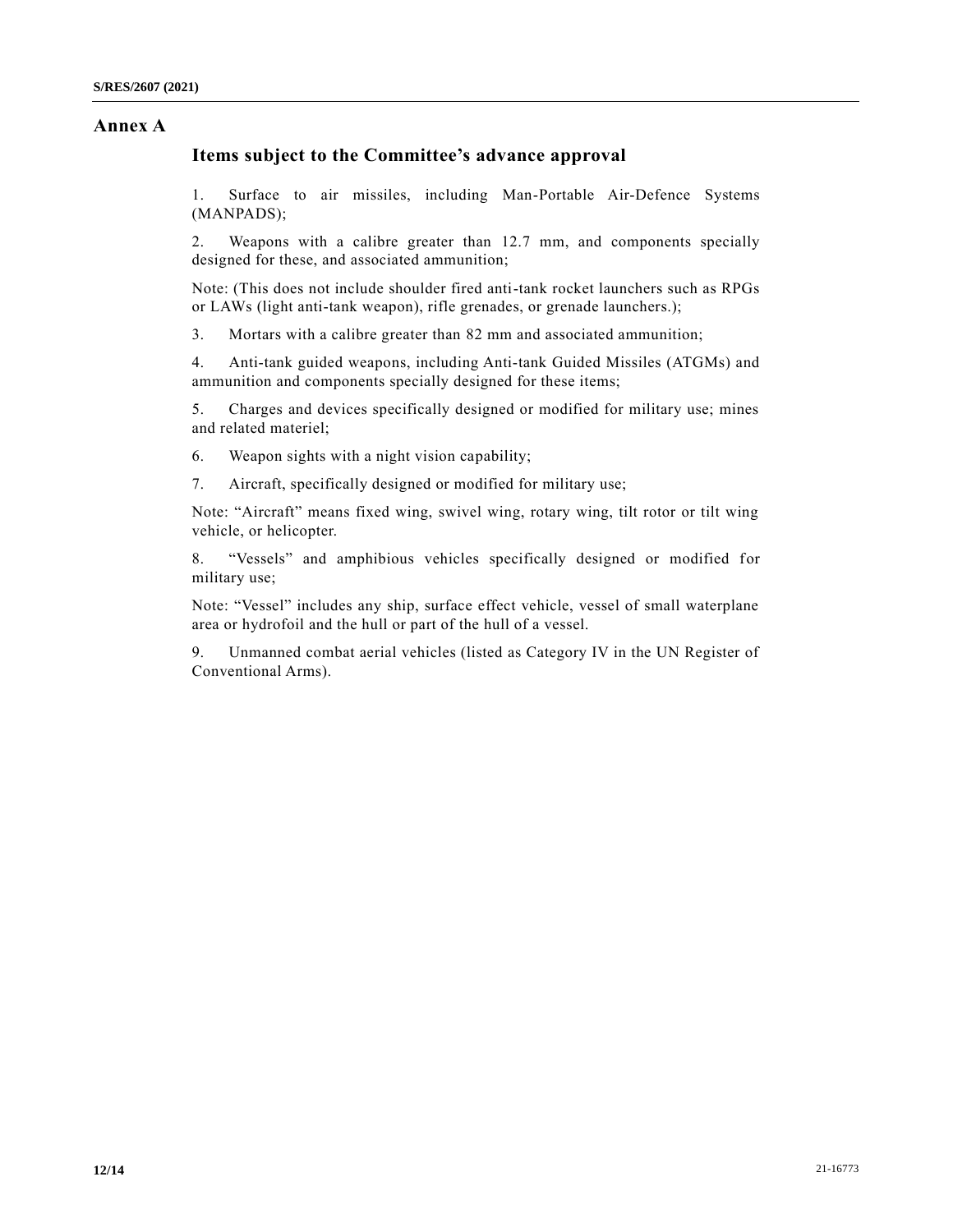## **Annex A**

## **Items subject to the Committee's advance approval**

1. Surface to air missiles, including Man-Portable Air-Defence Systems (MANPADS);

2. Weapons with a calibre greater than 12.7 mm, and components specially designed for these, and associated ammunition;

Note: (This does not include shoulder fired anti-tank rocket launchers such as RPGs or LAWs (light anti-tank weapon), rifle grenades, or grenade launchers.);

3. Mortars with a calibre greater than 82 mm and associated ammunition;

4. Anti-tank guided weapons, including Anti-tank Guided Missiles (ATGMs) and ammunition and components specially designed for these items;

5. Charges and devices specifically designed or modified for military use; mines and related materiel;

6. Weapon sights with a night vision capability;

7. Aircraft, specifically designed or modified for military use;

Note: "Aircraft" means fixed wing, swivel wing, rotary wing, tilt rotor or tilt wing vehicle, or helicopter.

8. "Vessels" and amphibious vehicles specifically designed or modified for military use;

Note: "Vessel" includes any ship, surface effect vehicle, vessel of small waterplane area or hydrofoil and the hull or part of the hull of a vessel.

9. Unmanned combat aerial vehicles (listed as Category IV in the UN Register of Conventional Arms).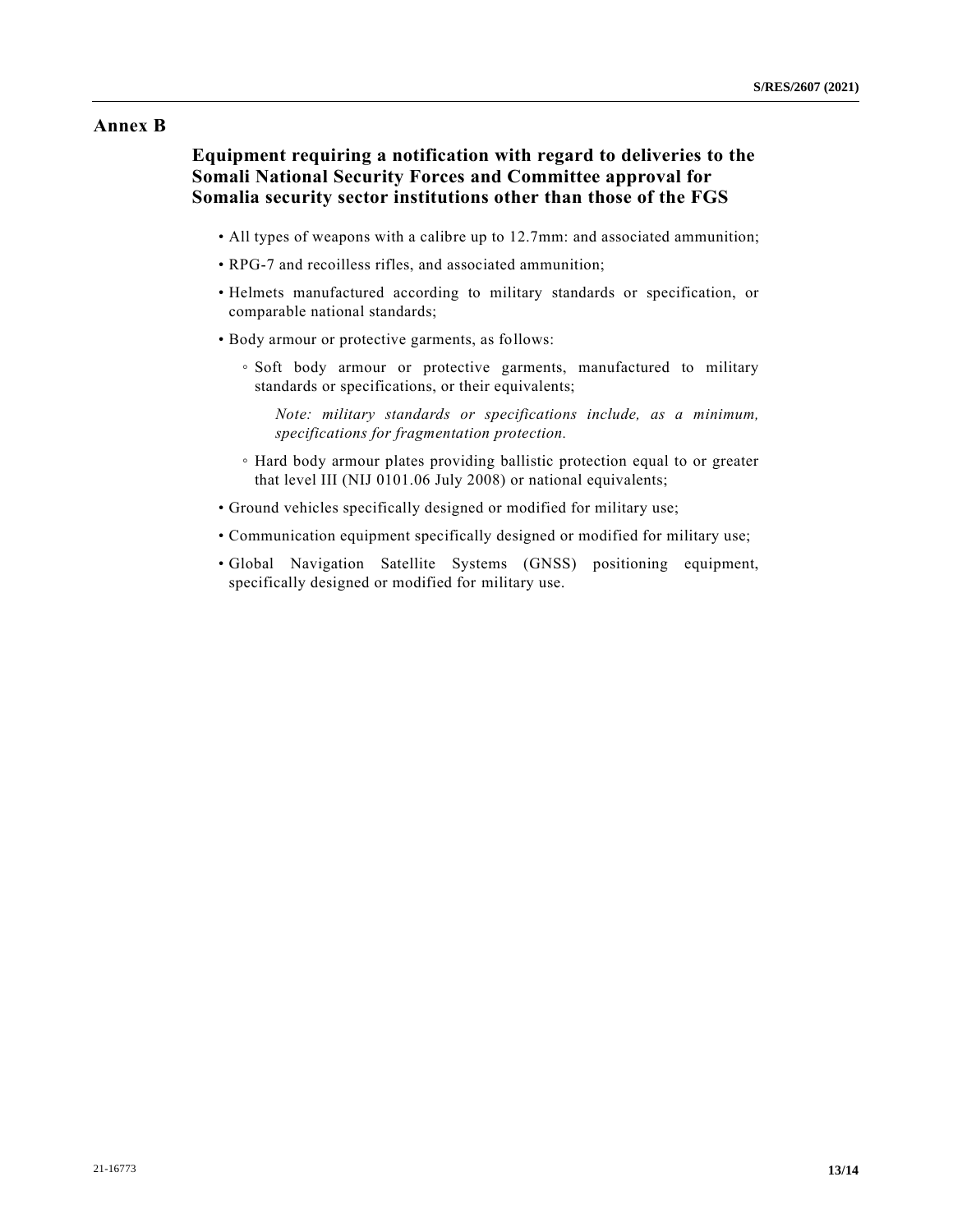## **Annex B**

**Equipment requiring a notification with regard to deliveries to the Somali National Security Forces and Committee approval for Somalia security sector institutions other than those of the FGS** 

- All types of weapons with a calibre up to 12.7mm: and associated ammunition;
- RPG-7 and recoilless rifles, and associated ammunition;
- Helmets manufactured according to military standards or specification, or comparable national standards;
- Body armour or protective garments, as follows:
	- Soft body armour or protective garments, manufactured to military standards or specifications, or their equivalents;

*Note: military standards or specifications include, as a minimum, specifications for fragmentation protection.* 

- Hard body armour plates providing ballistic protection equal to or greater that level III (NIJ 0101.06 July 2008) or national equivalents;
- Ground vehicles specifically designed or modified for military use;
- Communication equipment specifically designed or modified for military use;
- Global Navigation Satellite Systems (GNSS) positioning equipment, specifically designed or modified for military use.